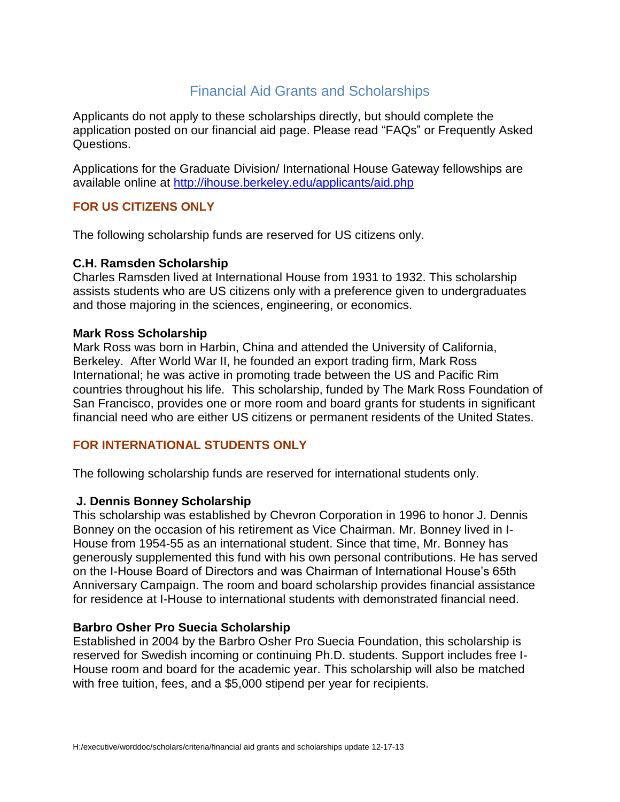# Financial Aid Grants and Scholarships

Applicants do not apply to these scholarships directly, but should complete the application posted on our financial aid page. Please read "FAQs" or Frequently Asked Questions.

Applications for the Graduate Division/ International House Gateway fellowships are available online at<http://ihouse.berkeley.edu/applicants/aid.php>

# **FOR US CITIZENS ONLY**

The following scholarship funds are reserved for US citizens only.

## **C.H. Ramsden Scholarship**

Charles Ramsden lived at International House from 1931 to 1932. This scholarship assists students who are US citizens only with a preference given to undergraduates and those majoring in the sciences, engineering, or economics.

### **Mark Ross Scholarship**

Mark Ross was born in Harbin, China and attended the University of California, Berkeley. After World War II, he founded an export trading firm, Mark Ross International; he was active in promoting trade between the US and Pacific Rim countries throughout his life. This scholarship, funded by The Mark Ross Foundation of San Francisco, provides one or more room and board grants for students in significant financial need who are either US citizens or permanent residents of the United States.

# **FOR INTERNATIONAL STUDENTS ONLY**

The following scholarship funds are reserved for international students only.

### **J. Dennis Bonney Scholarship**

This scholarship was established by Chevron Corporation in 1996 to honor J. Dennis Bonney on the occasion of his retirement as Vice Chairman. Mr. Bonney lived in I-House from 1954-55 as an international student. Since that time, Mr. Bonney has generously supplemented this fund with his own personal contributions. He has served on the I-House Board of Directors and was Chairman of International House's 65th Anniversary Campaign. The room and board scholarship provides financial assistance for residence at I-House to international students with demonstrated financial need.

### **Barbro Osher Pro Suecia Scholarship**

Established in 2004 by the Barbro Osher Pro Suecia Foundation, this scholarship is reserved for Swedish incoming or continuing Ph.D. students. Support includes free I-House room and board for the academic year. This scholarship will also be matched with free tuition, fees, and a \$5,000 stipend per year for recipients.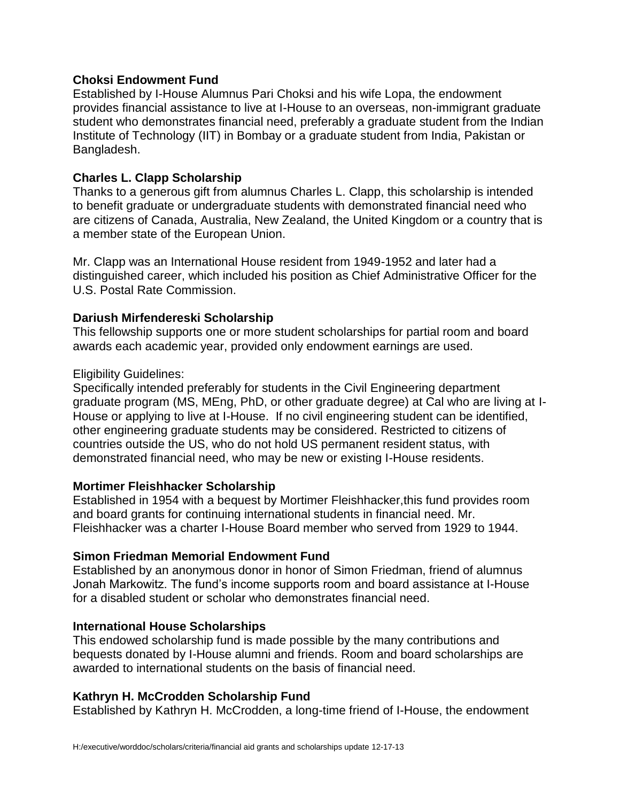# **Choksi Endowment Fund**

Established by I-House Alumnus Pari Choksi and his wife Lopa, the endowment provides financial assistance to live at I-House to an overseas, non-immigrant graduate student who demonstrates financial need, preferably a graduate student from the Indian Institute of Technology (IIT) in Bombay or a graduate student from India, Pakistan or Bangladesh.

## **Charles L. Clapp Scholarship**

Thanks to a generous gift from alumnus Charles L. Clapp, this scholarship is intended to benefit graduate or undergraduate students with demonstrated financial need who are citizens of Canada, Australia, New Zealand, the United Kingdom or a country that is a member state of the European Union.

Mr. Clapp was an International House resident from 1949-1952 and later had a distinguished career, which included his position as Chief Administrative Officer for the U.S. Postal Rate Commission.

### **Dariush Mirfendereski Scholarship**

This fellowship supports one or more student scholarships for partial room and board awards each academic year, provided only endowment earnings are used.

### Eligibility Guidelines:

Specifically intended preferably for students in the Civil Engineering department graduate program (MS, MEng, PhD, or other graduate degree) at Cal who are living at I-House or applying to live at I-House. If no civil engineering student can be identified, other engineering graduate students may be considered. Restricted to citizens of countries outside the US, who do not hold US permanent resident status, with demonstrated financial need, who may be new or existing I-House residents.

### **Mortimer Fleishhacker Scholarship**

Established in 1954 with a bequest by Mortimer Fleishhacker,this fund provides room and board grants for continuing international students in financial need. Mr. Fleishhacker was a charter I-House Board member who served from 1929 to 1944.

# **Simon Friedman Memorial Endowment Fund**

Established by an anonymous donor in honor of Simon Friedman, friend of alumnus Jonah Markowitz. The fund's income supports room and board assistance at I-House for a disabled student or scholar who demonstrates financial need.

# **International House Scholarships**

This endowed scholarship fund is made possible by the many contributions and bequests donated by I-House alumni and friends. Room and board scholarships are awarded to international students on the basis of financial need.

# **Kathryn H. McCrodden Scholarship Fund**

Established by Kathryn H. McCrodden, a long-time friend of I-House, the endowment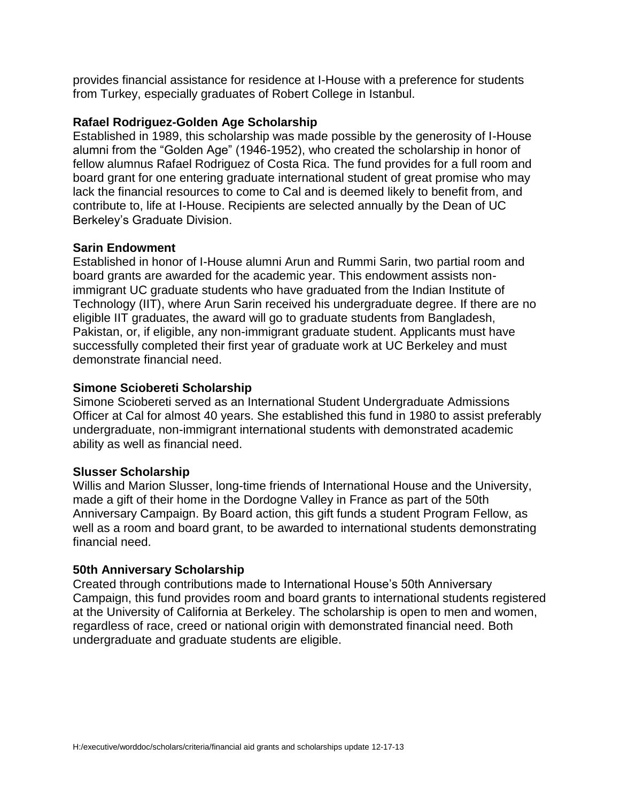provides financial assistance for residence at I-House with a preference for students from Turkey, especially graduates of Robert College in Istanbul.

## **Rafael Rodriguez-Golden Age Scholarship**

Established in 1989, this scholarship was made possible by the generosity of I-House alumni from the "Golden Age" (1946-1952), who created the scholarship in honor of fellow alumnus Rafael Rodriguez of Costa Rica. The fund provides for a full room and board grant for one entering graduate international student of great promise who may lack the financial resources to come to Cal and is deemed likely to benefit from, and contribute to, life at I-House. Recipients are selected annually by the Dean of UC Berkeley's Graduate Division.

## **Sarin Endowment**

Established in honor of I-House alumni Arun and Rummi Sarin, two partial room and board grants are awarded for the academic year. This endowment assists nonimmigrant UC graduate students who have graduated from the Indian Institute of Technology (IIT), where Arun Sarin received his undergraduate degree. If there are no eligible IIT graduates, the award will go to graduate students from Bangladesh, Pakistan, or, if eligible, any non-immigrant graduate student. Applicants must have successfully completed their first year of graduate work at UC Berkeley and must demonstrate financial need.

## **Simone Sciobereti Scholarship**

Simone Sciobereti served as an International Student Undergraduate Admissions Officer at Cal for almost 40 years. She established this fund in 1980 to assist preferably undergraduate, non-immigrant international students with demonstrated academic ability as well as financial need.

### **Slusser Scholarship**

Willis and Marion Slusser, long-time friends of International House and the University, made a gift of their home in the Dordogne Valley in France as part of the 50th Anniversary Campaign. By Board action, this gift funds a student Program Fellow, as well as a room and board grant, to be awarded to international students demonstrating financial need.

### **50th Anniversary Scholarship**

Created through contributions made to International House's 50th Anniversary Campaign, this fund provides room and board grants to international students registered at the University of California at Berkeley. The scholarship is open to men and women, regardless of race, creed or national origin with demonstrated financial need. Both undergraduate and graduate students are eligible.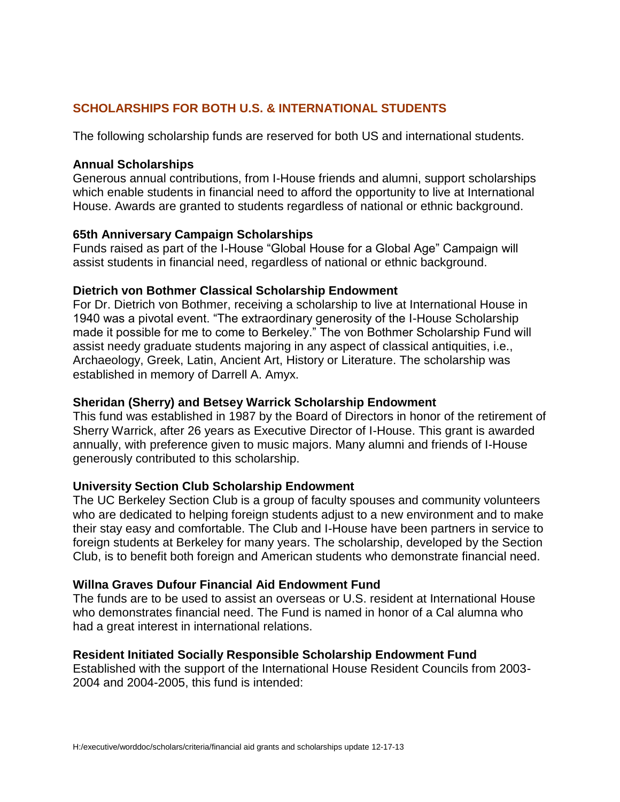# **SCHOLARSHIPS FOR BOTH U.S. & INTERNATIONAL STUDENTS**

The following scholarship funds are reserved for both US and international students.

## **Annual Scholarships**

Generous annual contributions, from I-House friends and alumni, support scholarships which enable students in financial need to afford the opportunity to live at International House. Awards are granted to students regardless of national or ethnic background.

## **65th Anniversary Campaign Scholarships**

Funds raised as part of the I-House "Global House for a Global Age" Campaign will assist students in financial need, regardless of national or ethnic background.

## **Dietrich von Bothmer Classical Scholarship Endowment**

For Dr. Dietrich von Bothmer, receiving a scholarship to live at International House in 1940 was a pivotal event. "The extraordinary generosity of the I-House Scholarship made it possible for me to come to Berkeley." The von Bothmer Scholarship Fund will assist needy graduate students majoring in any aspect of classical antiquities, i.e., Archaeology, Greek, Latin, Ancient Art, History or Literature. The scholarship was established in memory of Darrell A. Amyx.

## **Sheridan (Sherry) and Betsey Warrick Scholarship Endowment**

This fund was established in 1987 by the Board of Directors in honor of the retirement of Sherry Warrick, after 26 years as Executive Director of I-House. This grant is awarded annually, with preference given to music majors. Many alumni and friends of I-House generously contributed to this scholarship.

# **University Section Club Scholarship Endowment**

The UC Berkeley Section Club is a group of faculty spouses and community volunteers who are dedicated to helping foreign students adjust to a new environment and to make their stay easy and comfortable. The Club and I-House have been partners in service to foreign students at Berkeley for many years. The scholarship, developed by the Section Club, is to benefit both foreign and American students who demonstrate financial need.

### **Willna Graves Dufour Financial Aid Endowment Fund**

The funds are to be used to assist an overseas or U.S. resident at International House who demonstrates financial need. The Fund is named in honor of a Cal alumna who had a great interest in international relations.

### **Resident Initiated Socially Responsible Scholarship Endowment Fund**

Established with the support of the International House Resident Councils from 2003- 2004 and 2004-2005, this fund is intended: